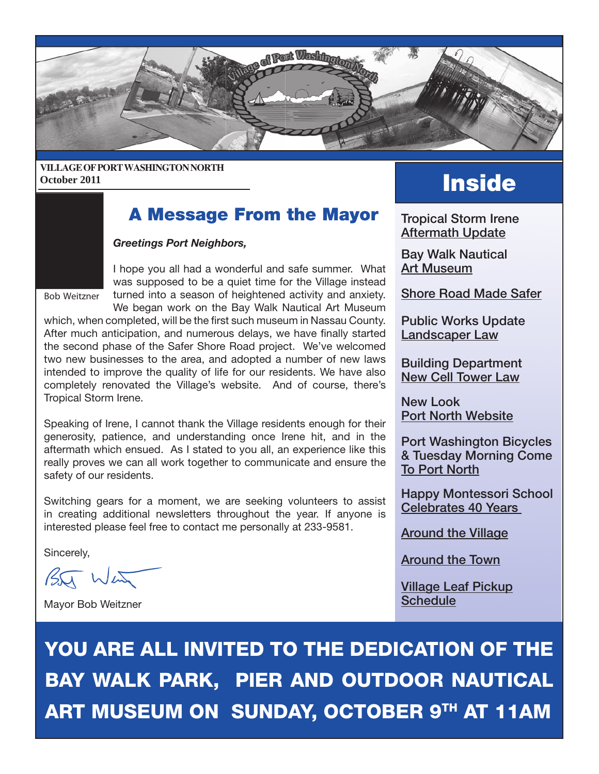

#### **VILLAGE OF PORT WASHINGTON NORTH** October 2011

## **A Message From the Mayor** Tropical Storm Irene

#### *Greetings Port Neighbors,*

Bob Weitzner

I hope you all had a wonderful and safe summer. What was supposed to be a quiet time for the Village instead turned into a season of heightened activity and anxiety.

We began work on the Bay Walk Nautical Art Museum which, when completed, will be the first such museum in Nassau County. After much anticipation, and numerous delays, we have finally started the second phase of the Safer Shore Road project. We've welcomed two new businesses to the area, and adopted a number of new laws intended to improve the quality of life for our residents. We have also completely renovated the Village's website. And of course, there's Tropical Storm Irene.

Speaking of Irene, I cannot thank the Village residents enough for their generosity, patience, and understanding once Irene hit, and in the aftermath which ensued. As I stated to you all, an experience like this really proves we can all work together to communicate and ensure the safety of our residents.

Switching gears for a moment, we are seeking volunteers to assist in creating additional newsletters throughout the year. If anyone is interested please feel free to contact me personally at 233-9581.

Sincerely,

 $BT$  Wen

Mayor Bob Weitzner

Aftermath Update

Bay Walk Nautical Art Museum

Shore Road Made Safer

Public Works Update Landscaper Law

Building Department New Cell Tower Law

New Look Port North Website

Port Washington Bicycles & Tuesday Morning Come To Port North

Happy Montessori School Celebrates 40 Years

Around the Village

Around the Town

Village Leaf Pickup **Schedule** 

YOU ARE ALL INVITED TO THE DEDICATION OF THE BAY WALK PARK, PIER AND OUTDOOR NAUTICAL ART MUSEUM ON SUNDAY, OCTOBER 9TH AT 11AM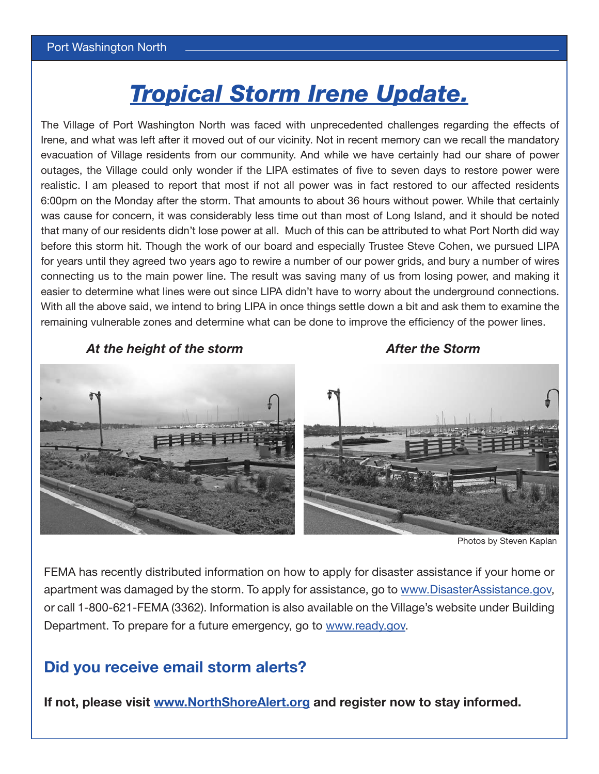# *Tropical Storm Irene Update.*

The Village of Port Washington North was faced with unprecedented challenges regarding the effects of Irene, and what was left after it moved out of our vicinity. Not in recent memory can we recall the mandatory evacuation of Village residents from our community. And while we have certainly had our share of power outages, the Village could only wonder if the LIPA estimates of five to seven days to restore power were realistic. I am pleased to report that most if not all power was in fact restored to our affected residents 6:00pm on the Monday after the storm. That amounts to about 36 hours without power. While that certainly was cause for concern, it was considerably less time out than most of Long Island, and it should be noted that many of our residents didn't lose power at all. Much of this can be attributed to what Port North did way before this storm hit. Though the work of our board and especially Trustee Steve Cohen, we pursued LIPA for years until they agreed two years ago to rewire a number of our power grids, and bury a number of wires connecting us to the main power line. The result was saving many of us from losing power, and making it easier to determine what lines were out since LIPA didn't have to worry about the underground connections. With all the above said, we intend to bring LIPA in once things settle down a bit and ask them to examine the remaining vulnerable zones and determine what can be done to improve the efficiency of the power lines.

*At the height of the storm After the Storm*



Photos by Steven Kaplan

FEMA has recently distributed information on how to apply for disaster assistance if your home or apartment was damaged by the storm. To apply for assistance, go to www.DisasterAssistance.gov, or call 1-800-621-FEMA (3362). Information is also available on the Village's website under Building Department. To prepare for a future emergency, go to www.ready.gov.

### **Did you receive email storm alerts?**

**If not, please visit www.NorthShoreAlert.org and register now to stay informed.**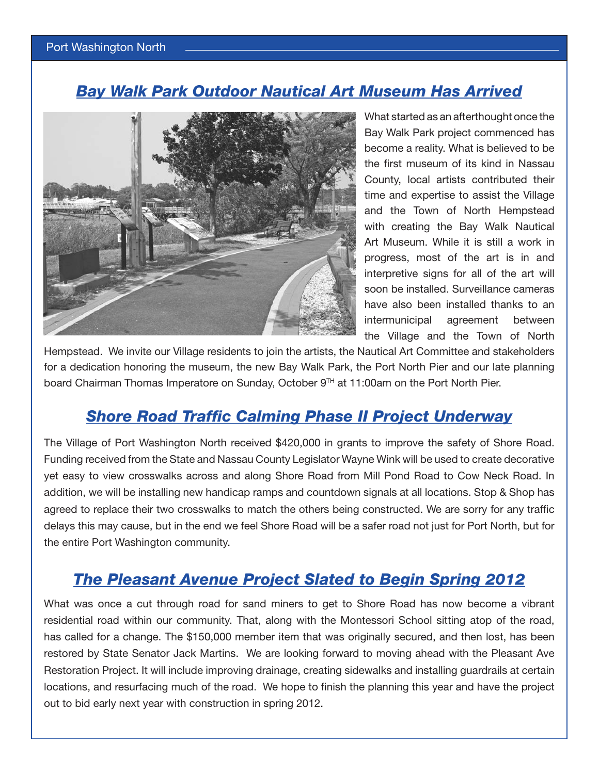### *Bay Walk Park Outdoor Nautical Art Museum Has Arrived*



What started as an afterthought once the Bay Walk Park project commenced has become a reality. What is believed to be the first museum of its kind in Nassau County, local artists contributed their time and expertise to assist the Village and the Town of North Hempstead with creating the Bay Walk Nautical Art Museum. While it is still a work in progress, most of the art is in and interpretive signs for all of the art will soon be installed. Surveillance cameras have also been installed thanks to an intermunicipal agreement between the Village and the Town of North

Hempstead. We invite our Village residents to join the artists, the Nautical Art Committee and stakeholders for a dedication honoring the museum, the new Bay Walk Park, the Port North Pier and our late planning board Chairman Thomas Imperatore on Sunday, October 9<sup>TH</sup> at 11:00am on the Port North Pier.

### *Shore Road Traffic Calming Phase II Project Underway*

The Village of Port Washington North received \$420,000 in grants to improve the safety of Shore Road. Funding received from the State and Nassau County Legislator Wayne Wink will be used to create decorative yet easy to view crosswalks across and along Shore Road from Mill Pond Road to Cow Neck Road. In addition, we will be installing new handicap ramps and countdown signals at all locations. Stop & Shop has agreed to replace their two crosswalks to match the others being constructed. We are sorry for any traffic delays this may cause, but in the end we feel Shore Road will be a safer road not just for Port North, but for the entire Port Washington community.

### *The Pleasant Avenue Project Slated to Begin Spring 2012*

What was once a cut through road for sand miners to get to Shore Road has now become a vibrant residential road within our community. That, along with the Montessori School sitting atop of the road, has called for a change. The \$150,000 member item that was originally secured, and then lost, has been restored by State Senator Jack Martins. We are looking forward to moving ahead with the Pleasant Ave Restoration Project. It will include improving drainage, creating sidewalks and installing guardrails at certain locations, and resurfacing much of the road. We hope to finish the planning this year and have the project out to bid early next year with construction in spring 2012.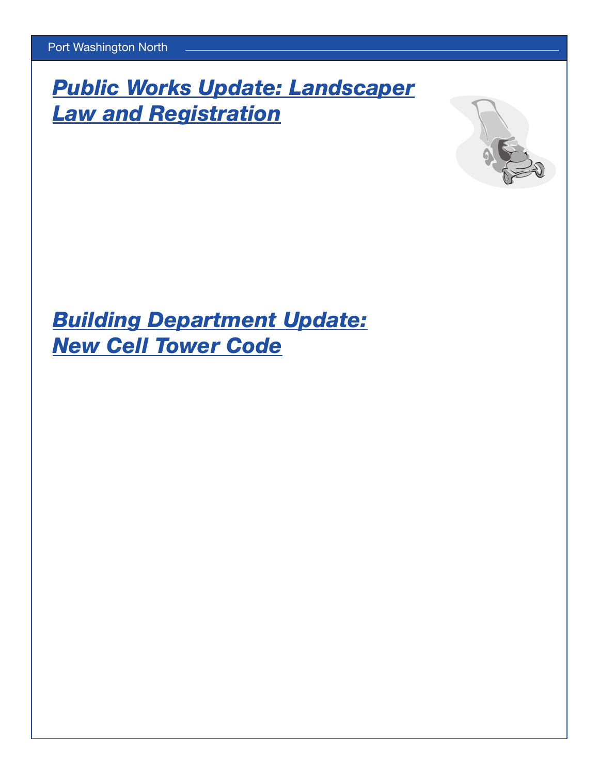**Public Works Update Law and Registrat** 

## **Building Department New Cell**

The Village Board of Trustees passed Local Law 4, of 20132regulating2landscapers who2do2business2in2Port2Washington2North.2The purpose of this2law is2to2make sure each landscaping2company2is2licensed with the Village and to2improve the quality2of life for our residents.22It2will ensure companies are insured, have valid Nassau County2licenses, and are held accountable in2the event2they2do2not2abide2by2the new legislation. The law prohibits landscapers from using power tools on2Saturdays, Sundays, and legal holidays. It2also2reinforces that2all grass2clippings, leaves, and debris2must2be2removed and deposited in2a duly licensed depository. This2law will take effect January 1, 2012. Please do2your best to2inform2your landscaping2company2of the pending2changes. More information is2available on our website.The Village Board of Trustees adopted Local Law 2, of 20132updating2our Telecommunications Towers code, which was last revised in220 3.2Major revisions include:3.22Permits personal wireless2service2facilities (cell towers) to be2exclusively within commercial and industrial zoning2districts in2the Village.2Only special and unique circumstances would alter this.2The applicant2has a2high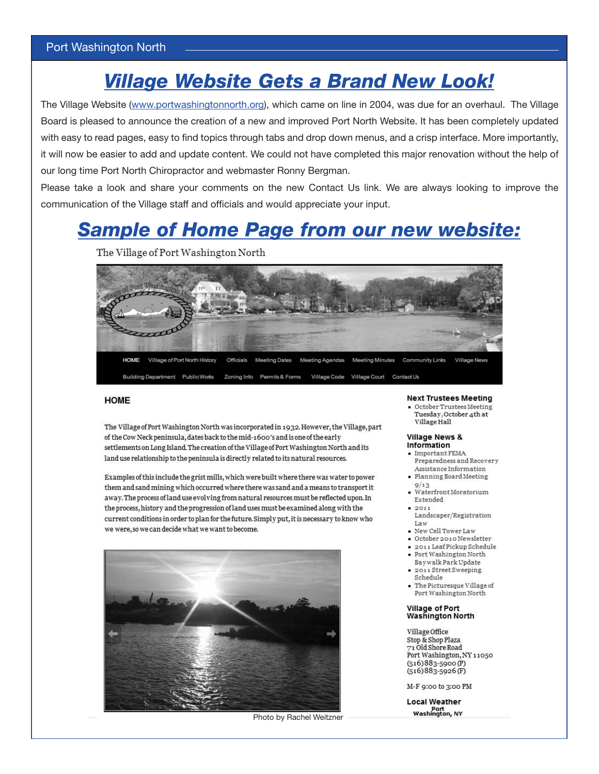## *Village Website Gets a Brand New Look!*

The Village Website (www.portwashingtonnorth.org), which came on line in 2004, was due for an overhaul. The Village Board is pleased to announce the creation of a new and improved Port North Website. It has been completely updated with easy to read pages, easy to find topics through tabs and drop down menus, and a crisp interface. More importantly, it will now be easier to add and update content. We could not have completed this major renovation without the help of our long time Port North Chiropractor and webmaster Ronny Bergman.

Please take a look and share your comments on the new Contact Us link. We are always looking to improve the communication of the Village staff and officials and would appreciate your input.

## *Sample of Home Page from our new website:*

The Village of Port Washington North



#### **HOME**

The Village of Port Washington North was incorporated in 1932. However, the Village, part of the Cow Neck peninsula, dates back to the mid-1600's and is one of the early settlements on Long Island. The creation of the Village of Port Washington North and its land use relationship to the peninsula is directly related to its natural resources.

Examples of this include the grist mills, which were built where there was water to power them and sand mining which occurred where there was sand and a means to transport it away. The process of land use evolving from natural resources must be reflected upon. In the process, history and the progression of land uses must be examined along with the current conditions in order to plan for the future. Simply put, it is necessary to know who we were, so we can decide what we want to become.



Photo by Rachel Weitzner

#### **Next Trustees Meeting**

October Trustees Meeting Tuesday, October 4th at Village Hall

#### **Village News &** Information

- $\blacksquare$  Important FEMA Preparedness and Recovery
- Assistance Information · Planning Board Meeting
- $9/13$ · Waterfront Moratorium Extended
- $= 2011$
- Landscaper/Registration Law
- New Cell Tower Law
- October 2010 Newsletter
- 2011 Leaf Pickup Schedule
- · Port Washington North
- Baywalk Park Update 2011 Street Sweeping Schedule
- · The Picturesque Village of Port Washington North

#### Village of Port **Washington North**

Village Office Stop & Shop Plaza 71 Old Shore Road Port Washington, NY 11050  $(516)883 - 5900(P)$  $(516)883 - 5926$  (F)

M-F 9:00 to 3:00 PM

**Local Weather** Port<br>Washington, NY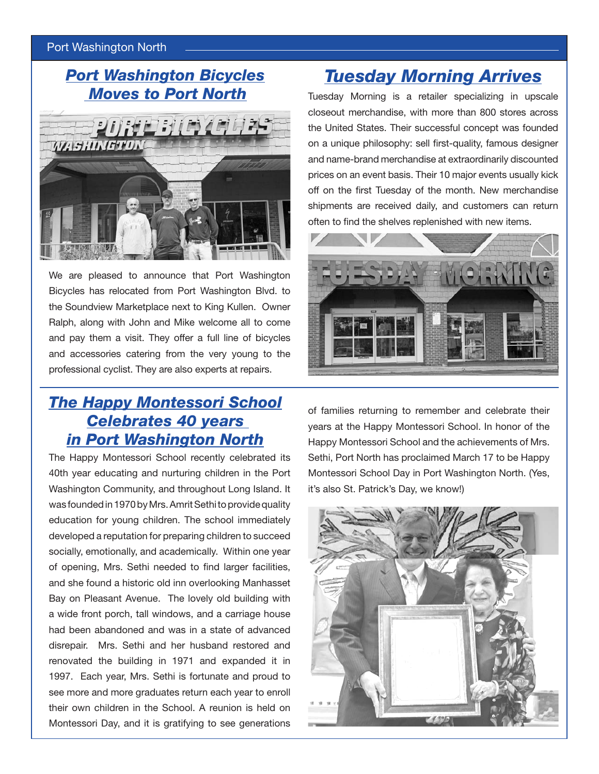#### Port Washington North

### *Port Washington Bicycles Moves to Port North*



We are pleased to announce that Port Washington Bicycles has relocated from Port Washington Blvd. to the Soundview Marketplace next to King Kullen. Owner Ralph, along with John and Mike welcome all to come and pay them a visit. They offer a full line of bicycles and accessories catering from the very young to the professional cyclist. They are also experts at repairs.

### *The Happy Montessori School Celebrates 40 years in Port Washington North*

The Happy Montessori School recently celebrated its 40th year educating and nurturing children in the Port Washington Community, and throughout Long Island. It was founded in 1970 by Mrs. Amrit Sethi to provide quality education for young children. The school immediately developed a reputation for preparing children to succeed socially, emotionally, and academically. Within one year of opening, Mrs. Sethi needed to find larger facilities, and she found a historic old inn overlooking Manhasset Bay on Pleasant Avenue. The lovely old building with a wide front porch, tall windows, and a carriage house had been abandoned and was in a state of advanced disrepair. Mrs. Sethi and her husband restored and renovated the building in 1971 and expanded it in 1997. Each year, Mrs. Sethi is fortunate and proud to see more and more graduates return each year to enroll their own children in the School. A reunion is held on Montessori Day, and it is gratifying to see generations

## *Tuesday Morning Arrives*

Tuesday Morning is a retailer specializing in upscale closeout merchandise, with more than 800 stores across the United States. Their successful concept was founded on a unique philosophy: sell first-quality, famous designer and name-brand merchandise at extraordinarily discounted prices on an event basis. Their 10 major events usually kick off on the first Tuesday of the month. New merchandise shipments are received daily, and customers can return often to find the shelves replenished with new items.



of families returning to remember and celebrate their years at the Happy Montessori School. In honor of the Happy Montessori School and the achievements of Mrs. Sethi, Port North has proclaimed March 17 to be Happy Montessori School Day in Port Washington North. (Yes, it's also St. Patrick's Day, we know!)

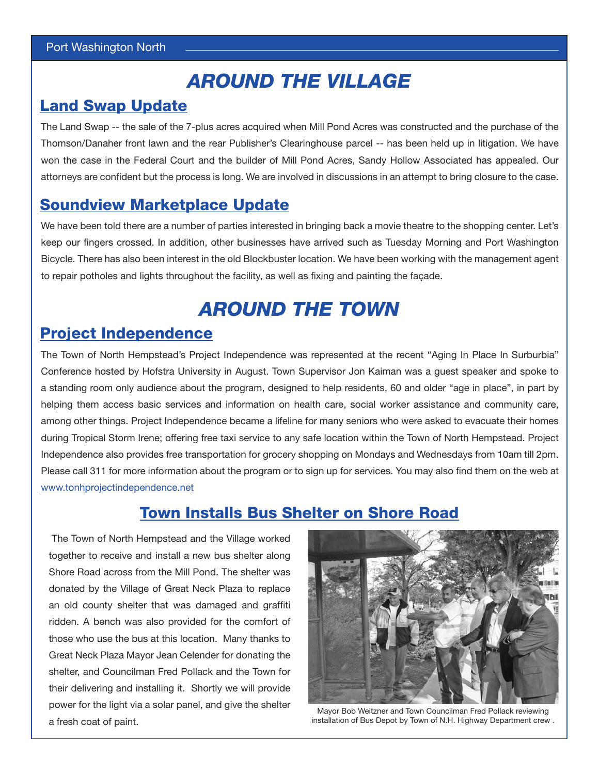## *AROUND THE VILLAGE*

### **Land Swap Update**

The Land Swap -- the sale of the 7-plus acres acquired when Mill Pond Acres was constructed and the purchase of the Thomson/Danaher front lawn and the rear Publisher's Clearinghouse parcel -- has been held up in litigation. We have won the case in the Federal Court and the builder of Mill Pond Acres, Sandy Hollow Associated has appealed. Our attorneys are confident but the process is long. We are involved in discussions in an attempt to bring closure to the case.

### Soundview Marketplace Update

We have been told there are a number of parties interested in bringing back a movie theatre to the shopping center. Let's keep our fingers crossed. In addition, other businesses have arrived such as Tuesday Morning and Port Washington Bicycle. There has also been interest in the old Blockbuster location. We have been working with the management agent to repair potholes and lights throughout the facility, as well as fixing and painting the façade.

## *AROUND THE TOWN*

### Project Independence

The Town of North Hempstead's Project Independence was represented at the recent "Aging In Place In Surburbia" Conference hosted by Hofstra University in August. Town Supervisor Jon Kaiman was a guest speaker and spoke to a standing room only audience about the program, designed to help residents, 60 and older "age in place", in part by helping them access basic services and information on health care, social worker assistance and community care, among other things. Project Independence became a lifeline for many seniors who were asked to evacuate their homes during Tropical Storm Irene; offering free taxi service to any safe location within the Town of North Hempstead. Project Independence also provides free transportation for grocery shopping on Mondays and Wednesdays from 10am till 2pm. Please call 311 for more information about the program or to sign up for services. You may also find them on the web at www.tonhprojectindependence.net

### Town Installs Bus Shelter on Shore Road

 The Town of North Hempstead and the Village worked together to receive and install a new bus shelter along Shore Road across from the Mill Pond. The shelter was donated by the Village of Great Neck Plaza to replace an old county shelter that was damaged and graffiti ridden. A bench was also provided for the comfort of those who use the bus at this location. Many thanks to Great Neck Plaza Mayor Jean Celender for donating the shelter, and Councilman Fred Pollack and the Town for their delivering and installing it. Shortly we will provide power for the light via a solar panel, and give the shelter a fresh coat of paint.



Mayor Bob Weitzner and Town Councilman Fred Pollack reviewing installation of Bus Depot by Town of N.H. Highway Department crew .